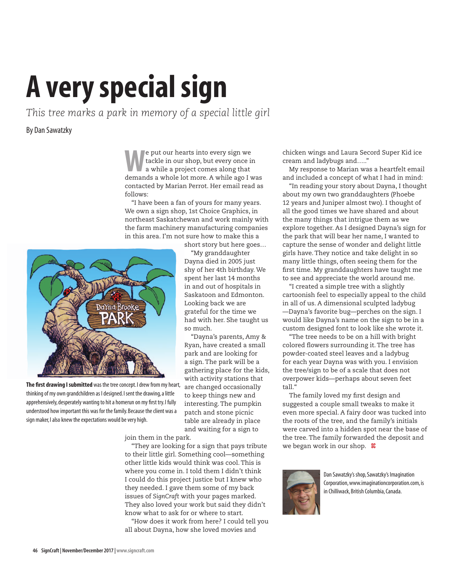## **A very special sign**

*This tree marks a park in memory of a special little girl*

## By Dan Sawatzky

**W**e put our hearts into every sign we<br>tackle in our shop, but every once is<br>a while a project comes along that<br>demands a whole lot more A while ago I w tackle in our shop, but every once in a while a project comes along that demands a whole lot more. A while ago I was contacted by Marian Perrot. Her email read as follows:

"I have been a fan of yours for many years. We own a sign shop, 1st Choice Graphics, in northeast Saskatchewan and work mainly with the farm machinery manufacturing companies in this area. I'm not sure how to make this a



**The first drawing I submitted** was the tree concept. I drew from my heart, thinking of my own grandchildren as I designed. I sent the drawing, a little apprehensively, desperately wanting to hit a homerun on my first try. I fully understood how important this was for the family. Because the client was a sign maker, I also knew the expectations would be very high.

short story but here goes… "My granddaughter Dayna died in 2005 just shy of her 4th birthday. We spent her last 14 months in and out of hospitals in Saskatoon and Edmonton. Looking back we are grateful for the time we had with her. She taught us so much.

"Dayna's parents, Amy & Ryan, have created a small park and are looking for a sign. The park will be a gathering place for the kids, with activity stations that are changed occasionally to keep things new and interesting. The pumpkin patch and stone picnic table are already in place and waiting for a sign to

join them in the park.

"They are looking for a sign that pays tribute to their little girl. Something cool—something other little kids would think was cool. This is where you come in. I told them I didn't think I could do this project justice but I knew who they needed. I gave them some of my back issues of *SignCraft* with your pages marked. They also loved your work but said they didn't know what to ask for or where to start.

"How does it work from here? I could tell you all about Dayna, how she loved movies and

chicken wings and Laura Secord Super Kid ice cream and ladybugs and….."

My response to Marian was a heartfelt email and included a concept of what I had in mind:

"In reading your story about Dayna, I thought about my own two granddaughters (Phoebe 12 years and Juniper almost two). I thought of all the good times we have shared and about the many things that intrigue them as we explore together. As I designed Dayna's sign for the park that will bear her name, I wanted to capture the sense of wonder and delight little girls have. They notice and take delight in so many little things, often seeing them for the first time. My granddaughters have taught me to see and appreciate the world around me.

"I created a simple tree with a slightly cartoonish feel to especially appeal to the child in all of us. A dimensional sculpted ladybug —Dayna's favorite bug—perches on the sign. I would like Dayna's name on the sign to be in a custom designed font to look like she wrote it.

"The tree needs to be on a hill with bright colored flowers surrounding it. The tree has powder-coated steel leaves and a ladybug for each year Dayna was with you. I envision the tree/sign to be of a scale that does not overpower kids—perhaps about seven feet tall."

The family loved my first design and suggested a couple small tweaks to make it even more special. A fairy door was tucked into the roots of the tree, and the family's initials were carved into a hidden spot near the base of the tree. The family forwarded the deposit and we began work in our shop. **SC** 



Dan Sawatzky's shop, Sawatzky's Imagination Corporation, www.imaginationcorporation.com, is in Chilliwack, British Columbia, Canada.